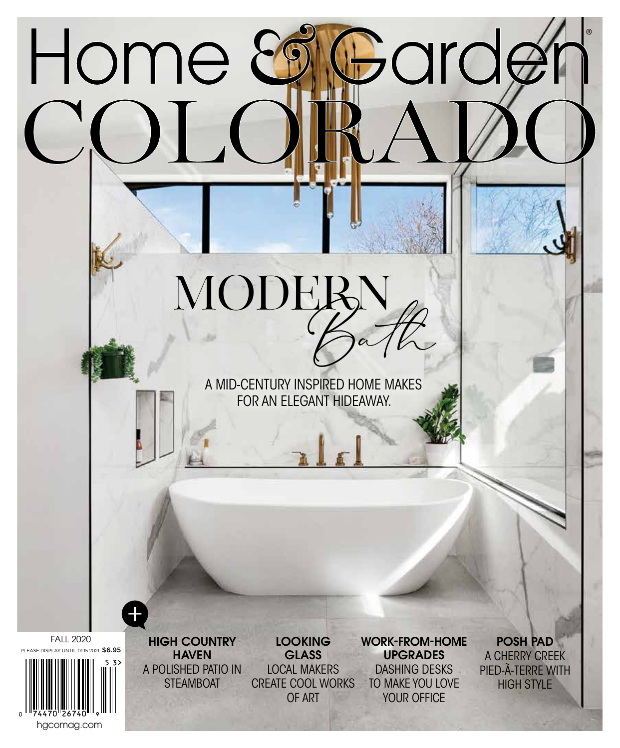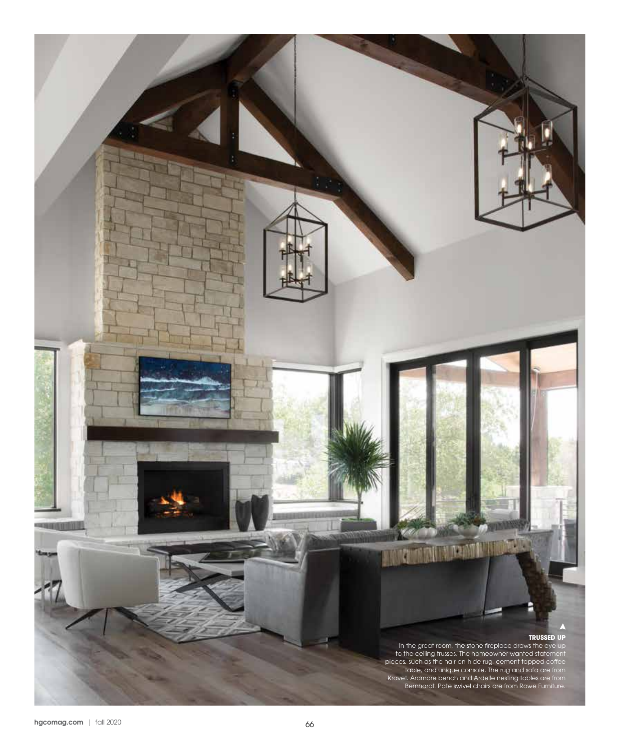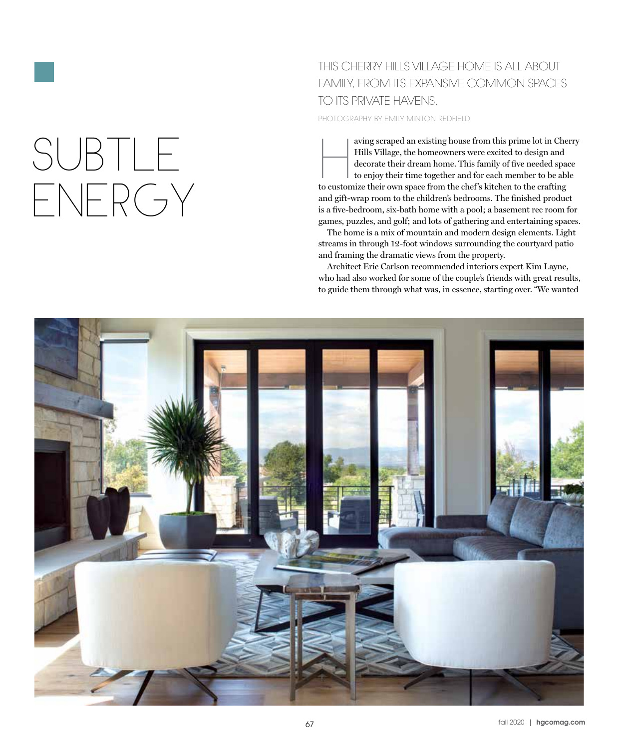# SUBTLE ENERGY

### THIS CHERRY HILLS VILLAGE HOME IS ALL ABOUT FAMILY, FROM ITS EXPANSIVE COMMON SPACES TO ITS PRIVATE HAVENS.

PHOTOGRAPHY BY EMILY MINTON REDFIELD

aving scraped an existing house from this prime lot in Cherry Hills Village, the homeowners were excited to design and decorate their dream home. This family of five needed space to enjoy their time together and for each member to be able to customize their own space from the chef 's kitchen to the crafting and gift-wrap room to the children's bedrooms. The finished product is a five-bedroom, six-bath home with a pool; a basement rec room for games, puzzles, and golf; and lots of gathering and entertaining spaces.

The home is a mix of mountain and modern design elements. Light streams in through 12-foot windows surrounding the courtyard patio and framing the dramatic views from the property.

Architect Eric Carlson recommended interiors expert Kim Layne, who had also worked for some of the couple's friends with great results, to guide them through what was, in essence, starting over. "We wanted

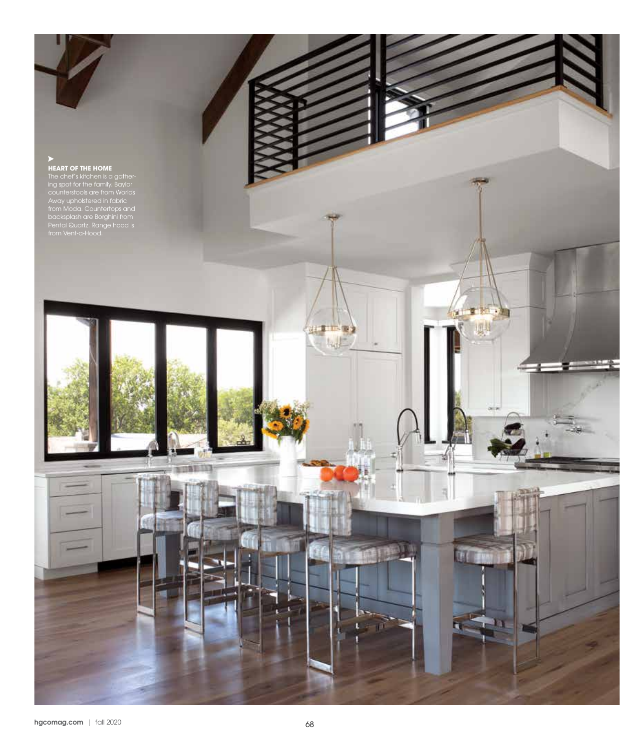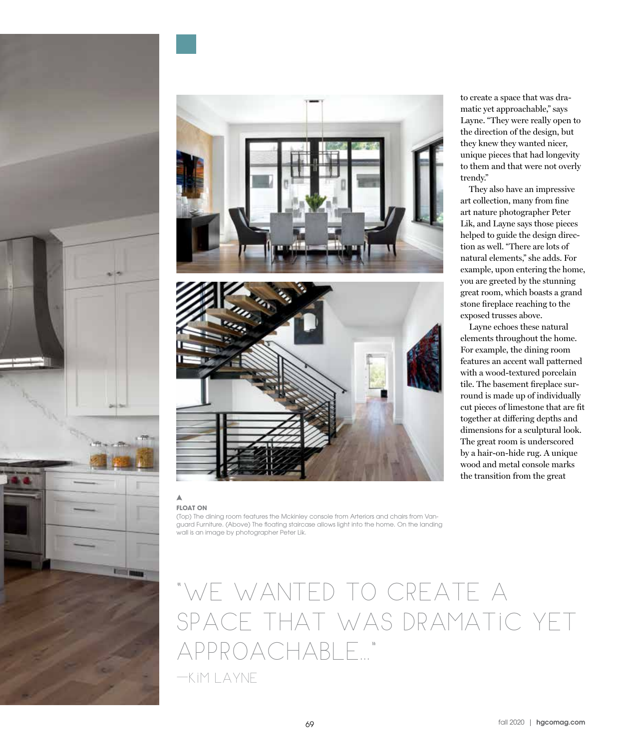





#### **FLOAT ON**

Δ

(Top) The dining room features the Mckinley console from Arteriors and chairs from Vanguard Furniture. (Above) The floating staircase allows light into the home. On the landing wall is an image by photographer Peter Lik.

# u<br>( WE WANTED TO CREATE A SPACE THAT WAS DRAMATIC YET APPROACHABLE..."

—KIM LAYNE

to create a space that was dramatic yet approachable," says Layne. "They were really open to the direction of the design, but they knew they wanted nicer, unique pieces that had longevity to them and that were not overly trendy."

They also have an impressive art collection, many from fine art nature photographer Peter Lik, and Layne says those pieces helped to guide the design direction as well. "There are lots of natural elements," she adds. For example, upon entering the home, you are greeted by the stunning great room, which boasts a grand stone fireplace reaching to the exposed trusses above.

Layne echoes these natural elements throughout the home. For example, the dining room features an accent wall patterned with a wood-textured porcelain tile. The basement fireplace surround is made up of individually cut pieces of limestone that are fit together at differing depths and dimensions for a sculptural look. The great room is underscored by a hair-on-hide rug. A unique wood and metal console marks the transition from the great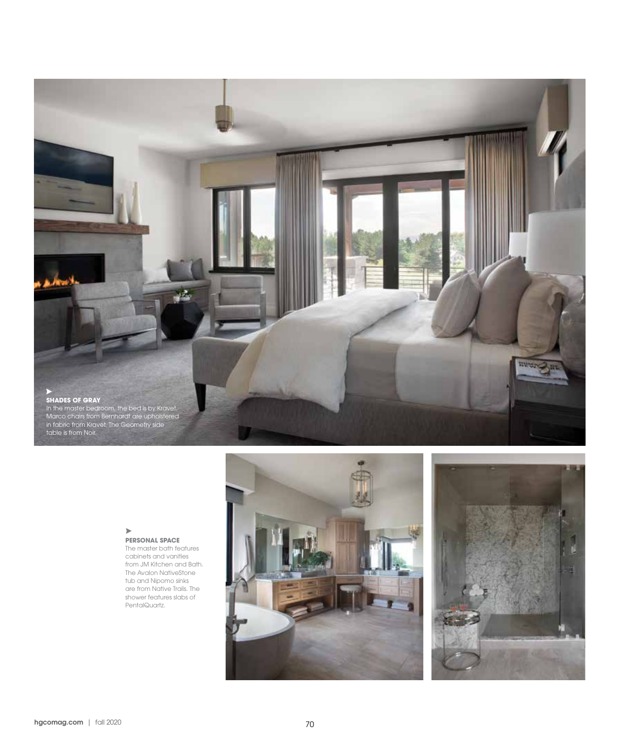

#### $\blacktriangleright$ **PERSONAL SPACE**

The master bath features cabinets and vanities from JM Kitchen and Bath. The Avalon NativeStone tub and Nipomo sinks are from Native Trails. The shower features slabs of PentalQuartz.



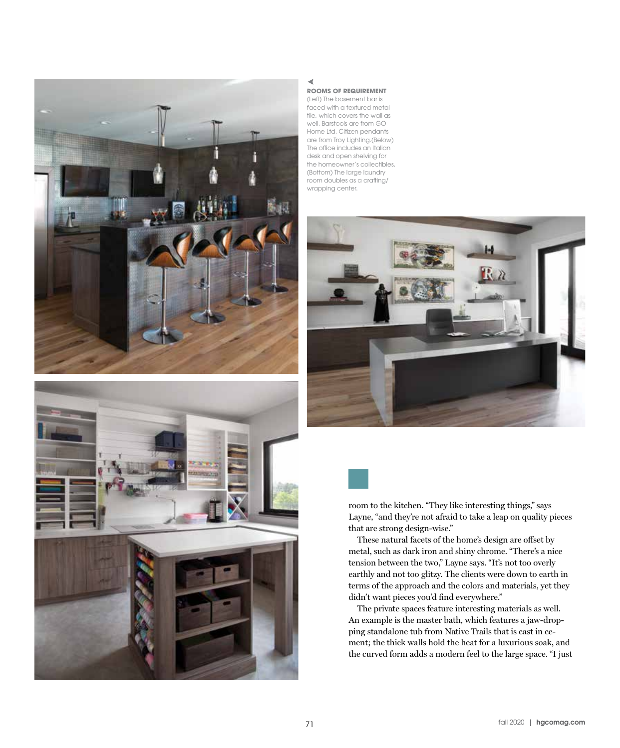



#### ◀ **ROOMS OF REQUIREMENT**

(Left) The basement bar is faced with a textured metal tile, which covers the wall as well. Barstools are from GO Home Ltd. Citizen pendants are from Troy Lighting.(Below) The office includes an Italian desk and open shelving for the homeowner's collectibles. (Bottom) The large laundry room doubles as a crafting/ wrapping center.





room to the kitchen. "They like interesting things," says Layne, "and they're not afraid to take a leap on quality pieces that are strong design-wise."

These natural facets of the home's design are offset by metal, such as dark iron and shiny chrome. "There's a nice tension between the two," Layne says. "It's not too overly earthly and not too glitzy. The clients were down to earth in terms of the approach and the colors and materials, yet they didn't want pieces you'd find everywhere."

The private spaces feature interesting materials as well. An example is the master bath, which features a jaw-dropping standalone tub from Native Trails that is cast in cement; the thick walls hold the heat for a luxurious soak, and the curved form adds a modern feel to the large space. "I just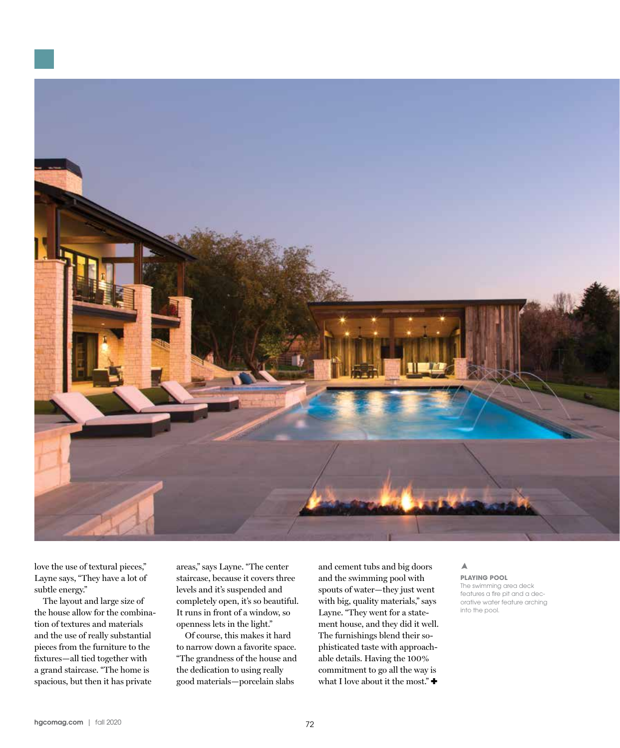

love the use of textural pieces," Layne says, "They have a lot of subtle energy."

The layout and large size of the house allow for the combination of textures and materials and the use of really substantial pieces from the furniture to the fixtures—all tied together with a grand staircase. "The home is spacious, but then it has private

areas," says Layne. "The center staircase, because it covers three levels and it's suspended and completely open, it's so beautiful. It runs in front of a window, so openness lets in the light."

Of course, this makes it hard to narrow down a favorite space. "The grandness of the house and the dedication to using really good materials—porcelain slabs

and cement tubs and big doors and the swimming pool with spouts of water—they just went with big, quality materials," says Layne. "They went for a statement house, and they did it well. The furnishings blend their sophisticated taste with approachable details. Having the 100% commitment to go all the way is what I love about it the most."  $\blacklozenge$ 

#### Δ **PLAYING POOL**

The swimming area deck features a fire pit and a decorative water feature arching into the pool.